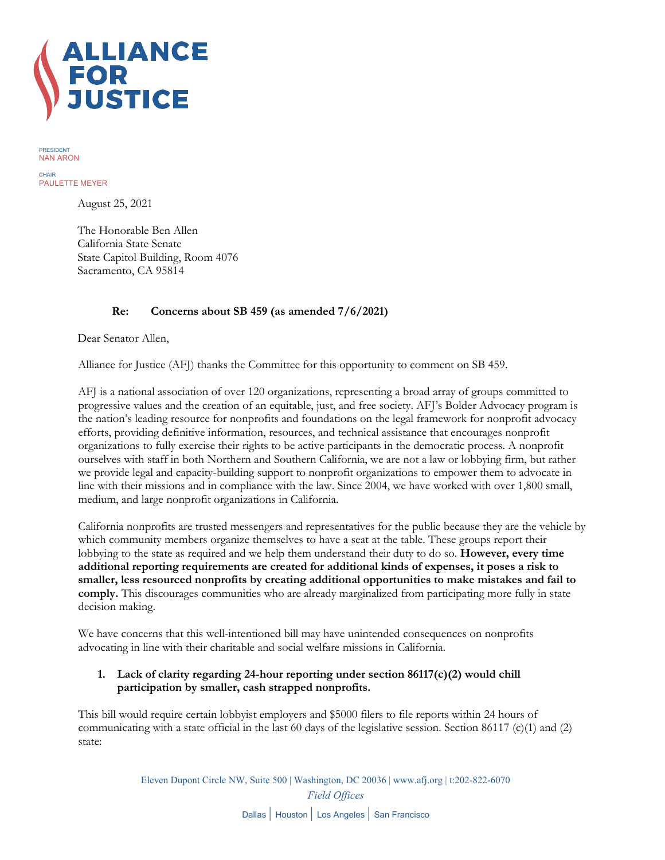

PRESIDENT NAN ARON **CHAIR** PAULETTE MEYER

August 25, 2021

The Honorable Ben Allen California State Senate State Capitol Building, Room 4076 Sacramento, CA 95814

## **Re: Concerns about SB 459 (as amended 7/6/2021)**

Dear Senator Allen,

Alliance for Justice (AFJ) thanks the Committee for this opportunity to comment on SB 459.

AFJ is a national association of over 120 organizations, representing a broad array of groups committed to progressive values and the creation of an equitable, just, and free society. AFJ's Bolder Advocacy program is the nation's leading resource for nonprofits and foundations on the legal framework for nonprofit advocacy efforts, providing definitive information, resources, and technical assistance that encourages nonprofit organizations to fully exercise their rights to be active participants in the democratic process. A nonprofit ourselves with staff in both Northern and Southern California, we are not a law or lobbying firm, but rather we provide legal and capacity-building support to nonprofit organizations to empower them to advocate in line with their missions and in compliance with the law. Since 2004, we have worked with over 1,800 small, medium, and large nonprofit organizations in California.

California nonprofits are trusted messengers and representatives for the public because they are the vehicle by which community members organize themselves to have a seat at the table. These groups report their lobbying to the state as required and we help them understand their duty to do so. **However, every time additional reporting requirements are created for additional kinds of expenses, it poses a risk to smaller, less resourced nonprofits by creating additional opportunities to make mistakes and fail to comply.** This discourages communities who are already marginalized from participating more fully in state decision making.

We have concerns that this well-intentioned bill may have unintended consequences on nonprofits advocating in line with their charitable and social welfare missions in California.

## **1. Lack of clarity regarding 24-hour reporting under section 86117(c)(2) would chill participation by smaller, cash strapped nonprofits.**

This bill would require certain lobbyist employers and \$5000 filers to file reports within 24 hours of communicating with a state official in the last 60 days of the legislative session. Section 86117 (c)(1) and (2) state: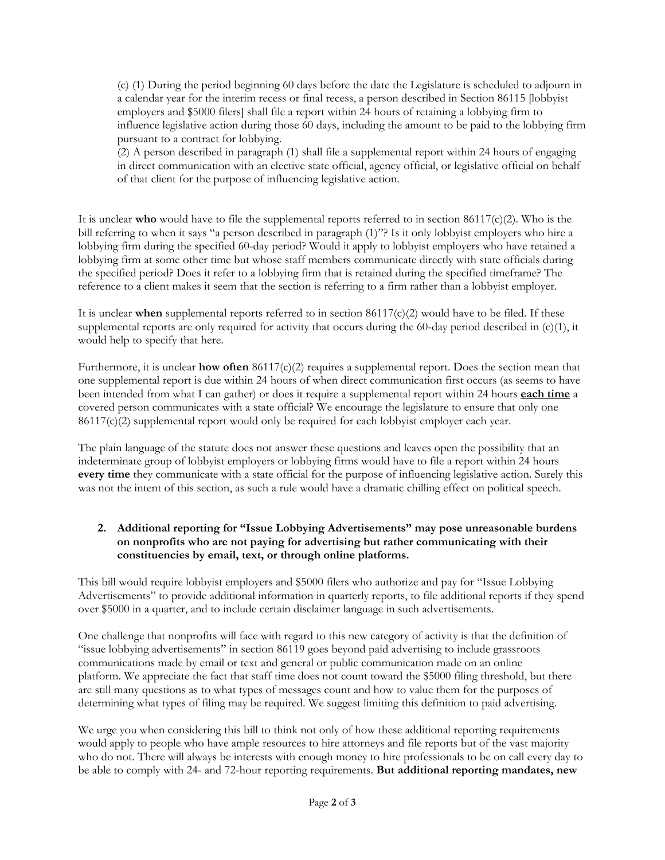(c) (1) During the period beginning 60 days before the date the Legislature is scheduled to adjourn in a calendar year for the interim recess or final recess, a person described in Section 86115 [lobbyist employers and \$5000 filers] shall file a report within 24 hours of retaining a lobbying firm to influence legislative action during those 60 days, including the amount to be paid to the lobbying firm pursuant to a contract for lobbying.

(2) A person described in paragraph (1) shall file a supplemental report within 24 hours of engaging in direct communication with an elective state official, agency official, or legislative official on behalf of that client for the purpose of influencing legislative action.

It is unclear **who** would have to file the supplemental reports referred to in section 86117(c)(2). Who is the bill referring to when it says "a person described in paragraph (1)"? Is it only lobbyist employers who hire a lobbying firm during the specified 60-day period? Would it apply to lobbyist employers who have retained a lobbying firm at some other time but whose staff members communicate directly with state officials during the specified period? Does it refer to a lobbying firm that is retained during the specified timeframe? The reference to a client makes it seem that the section is referring to a firm rather than a lobbyist employer.

It is unclear **when** supplemental reports referred to in section  $86117(c)(2)$  would have to be filed. If these supplemental reports are only required for activity that occurs during the 60-day period described in  $(c)(1)$ , it would help to specify that here.

Furthermore, it is unclear **how often** 86117(c)(2) requires a supplemental report. Does the section mean that one supplemental report is due within 24 hours of when direct communication first occurs (as seems to have been intended from what I can gather) or does it require a supplemental report within 24 hours **each time** a covered person communicates with a state official? We encourage the legislature to ensure that only one 86117(c)(2) supplemental report would only be required for each lobbyist employer each year.

The plain language of the statute does not answer these questions and leaves open the possibility that an indeterminate group of lobbyist employers or lobbying firms would have to file a report within 24 hours **every time** they communicate with a state official for the purpose of influencing legislative action. Surely this was not the intent of this section, as such a rule would have a dramatic chilling effect on political speech.

## **2. Additional reporting for "Issue Lobbying Advertisements" may pose unreasonable burdens on nonprofits who are not paying for advertising but rather communicating with their constituencies by email, text, or through online platforms.**

This bill would require lobbyist employers and \$5000 filers who authorize and pay for "Issue Lobbying Advertisements" to provide additional information in quarterly reports, to file additional reports if they spend over \$5000 in a quarter, and to include certain disclaimer language in such advertisements.

One challenge that nonprofits will face with regard to this new category of activity is that the definition of "issue lobbying advertisements" in section 86119 goes beyond paid advertising to include grassroots communications made by email or text and general or public communication made on an online platform. We appreciate the fact that staff time does not count toward the \$5000 filing threshold, but there are still many questions as to what types of messages count and how to value them for the purposes of determining what types of filing may be required. We suggest limiting this definition to paid advertising.

We urge you when considering this bill to think not only of how these additional reporting requirements would apply to people who have ample resources to hire attorneys and file reports but of the vast majority who do not. There will always be interests with enough money to hire professionals to be on call every day to be able to comply with 24- and 72-hour reporting requirements. **But additional reporting mandates, new**